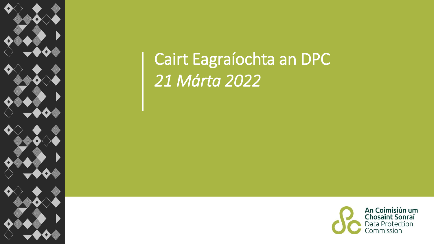

## Cairt Eagraíochta an DPC *21 Márta 2022*